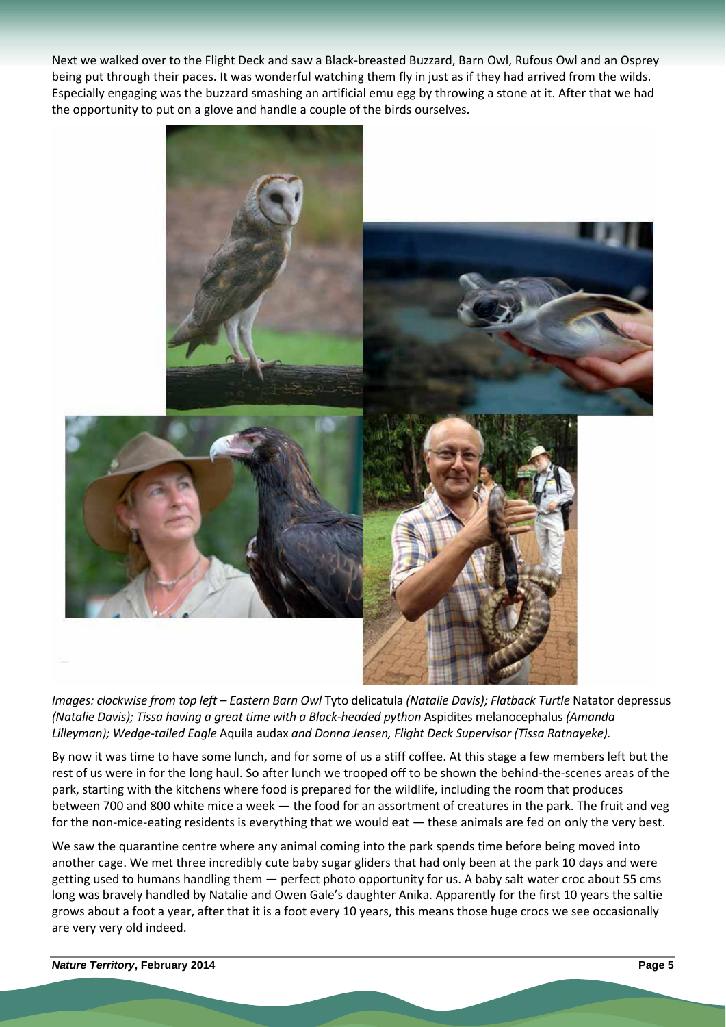Next we walked over to the Flight Deck and saw a Black‐breasted Buzzard, Barn Owl, Rufous Owl and an Osprey being put through their paces. It was wonderful watching them fly in just as if they had arrived from the wilds. Especially engaging was the buzzard smashing an artificial emu egg by throwing a stone at it. After that we had the opportunity to put on a glove and handle a couple of the birds ourselves.



*Images: clockwise from top left – Eastern Barn Owl* Tyto delicatula *(Natalie Davis); Flatback Turtle* Natator depressus *(Natalie Davis); Tissa having a great time with a Black‐headed python* Aspidites melanocephalus *(Amanda Lilleyman); Wedge‐tailed Eagle* Aquila audax *and Donna Jensen, Flight Deck Supervisor (Tissa Ratnayeke).*

By now it was time to have some lunch, and for some of us a stiff coffee. At this stage a few members left but the rest of us were in for the long haul. So after lunch we trooped off to be shown the behind‐the‐scenes areas of the park, starting with the kitchens where food is prepared for the wildlife, including the room that produces between 700 and 800 white mice a week — the food for an assortment of creatures in the park. The fruit and veg for the non-mice-eating residents is everything that we would eat — these animals are fed on only the very best.

We saw the quarantine centre where any animal coming into the park spends time before being moved into another cage. We met three incredibly cute baby sugar gliders that had only been at the park 10 days and were getting used to humans handling them — perfect photo opportunity for us. A baby salt water croc about 55 cms long was bravely handled by Natalie and Owen Gale's daughter Anika. Apparently for the first 10 years the saltie grows about a foot a year, after that it is a foot every 10 years, this means those huge crocs we see occasionally are very very old indeed.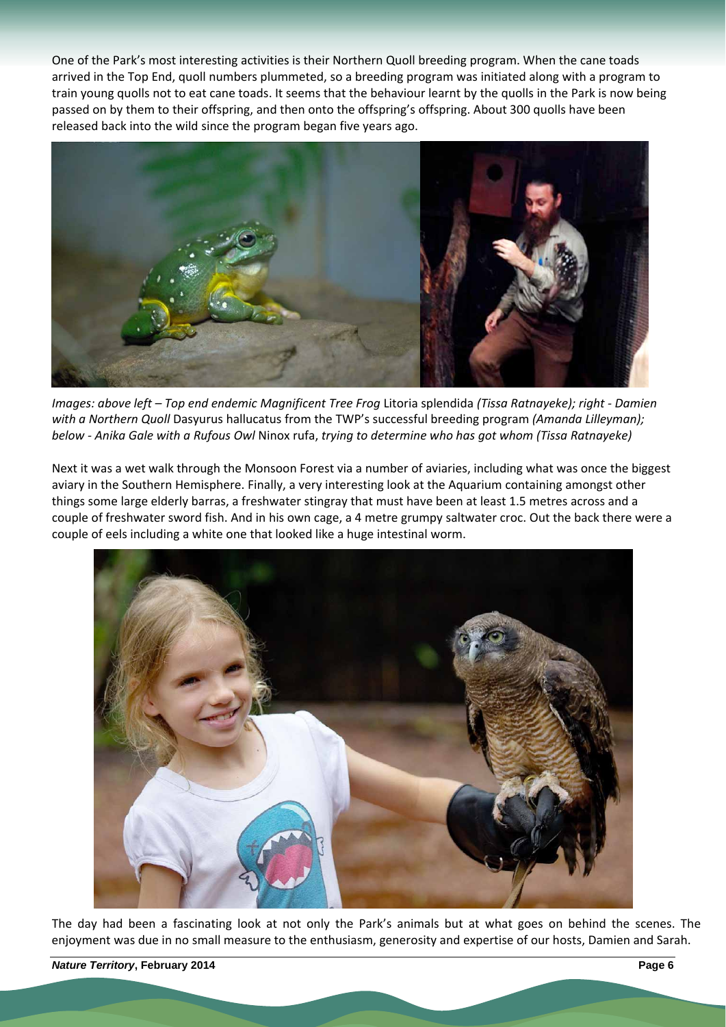One of the Park's many interesting activities is their Northern Quoll breeding program. When the cane toads arrived in the Top End, quoll numbers plummeted, so a breeding program was initiated along with a program to train young quolls not to eat cane toads. It seems that the behaviour learnt by the quolls in the Park is now being passed on by them to their offspring, and then onto the offspring's offspring. About 300 quolls have been released back into the wild since the program began five years ago.



*Images: above left – Top end endemic Magnificent Tree Frog* Litoria splendida *(Tissa Ratnayeke); right ‐ Damien with a Northern Quoll* Dasyurus hallucatus from the TWP's successful breeding program *(Amanda Lilleyman); below ‐ Anika Gale with a Rufous Owl* Ninox rufa, *trying to determine who has got whom (Tissa Ratnayeke)*

Next it was a wet walk through the Monsoon Forest via a number of aviaries, including what was once the biggest aviary in the Southern Hemisphere. Finally, a very interesting look at the Aquarium containing amongst other things some large elderly barras, a freshwater stingray that must have been at least 1.5 metres across and a couple of freshwater sword fish. And in his own cage, a 4 metre grumpy saltwater croc. Out the back there were a couple of eels including a white one that looked like a huge intestinal worm.



The day had been a fascinating look at not only the Park's animals but at what goes on behind the scenes. The enjoyment was due in no small measure to the enthusiasm, generosity and expertise of our hosts, Damien and Sarah.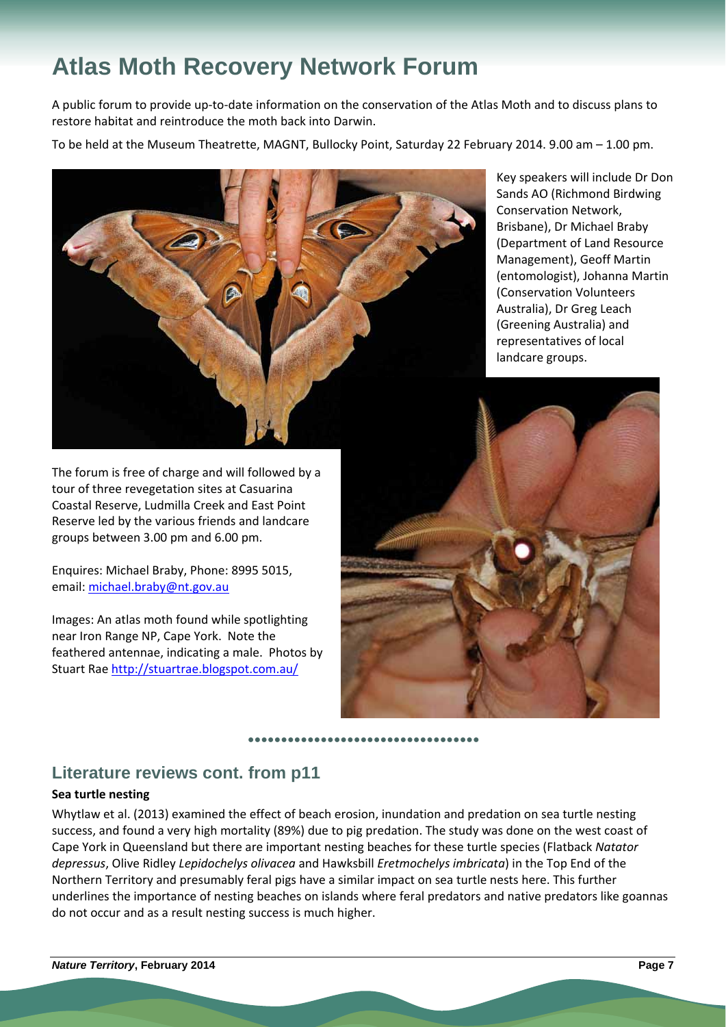# **Atlas Moth Recovery Network Forum**

A public forum to provide up‐to‐date information on the conservation of the Atlas Moth and to discuss plans to restore habitat and reintroduce the moth back into Darwin.

To be held at the Museum Theatrette, MAGNT, Bullocky Point, Saturday 22 February 2014. 9.00 am – 1.00 pm.



The forum is free of charge and will followed by a tour of three revegetation sites at Casuarina Coastal Reserve, Ludmilla Creek and East Point Reserve led by the various friends and landcare groups between 3.00 pm and 6.00 pm.

Enquires: Michael Braby, Phone: 8995 5015, email: michael.braby@nt.gov.au

Images: An atlas moth found while spotlighting near Iron Range NP, Cape York. Note the feathered antennae, indicating a male. Photos by Stuart Rae http://stuartrae.blogspot.com.au/

Key speakers will include Dr Don Sands AO (Richmond Birdwing Conservation Network, Brisbane), Dr Michael Braby (Department of Land Resource Management), Geoff Martin (entomologist), Johanna Martin (Conservation Volunteers Australia), Dr Greg Leach (Greening Australia) and representatives of local landcare groups.



# **Literature reviews cont. from p11**

## **Sea turtle nesting**

Whytlaw et al. (2013) examined the effect of beach erosion, inundation and predation on sea turtle nesting success, and found a very high mortality (89%) due to pig predation. The study was done on the west coast of Cape York in Queensland but there are important nesting beaches for these turtle species (Flatback *Natator depressus*, Olive Ridley *Lepidochelys olivacea* and Hawksbill *Eretmochelys imbricata*) in the Top End of the Northern Territory and presumably feral pigs have a similar impact on sea turtle nests here. This further underlines the importance of nesting beaches on islands where feral predators and native predators like goannas do not occur and as a result nesting success is much higher.

**●●●●●●●●●●●●●●●●●●●●●●●●●●●●●●●●●●●**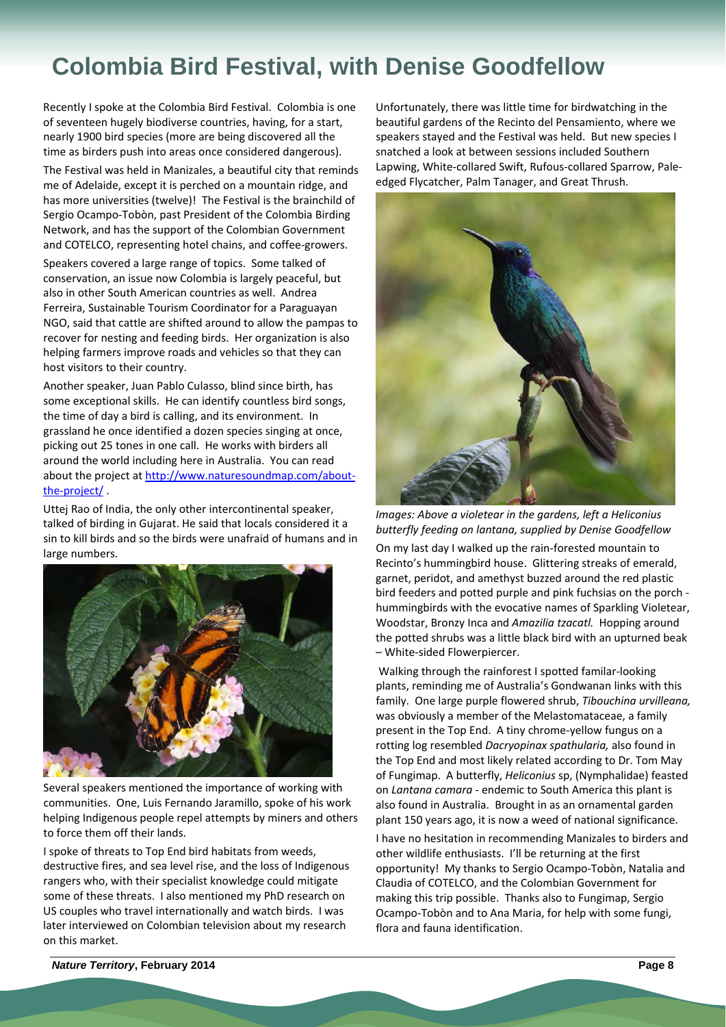# **Colombia Bird Festival, with Denise Goodfellow**

Recently I spoke at the Colombia Bird Festival. Colombia is one of seventeen hugely biodiverse countries, having, for a start, nearly 1900 bird species (more are being discovered all the time as birders push into areas once considered dangerous).

The Festival was held in Manizales, a beautiful city that reminds me of Adelaide, except it is perched on a mountain ridge, and has more universities (twelve)! The Festival is the brainchild of Sergio Ocampo‐Tobòn, past President of the Colombia Birding Network, and has the support of the Colombian Government and COTELCO, representing hotel chains, and coffee‐growers.

Speakers covered a large range of topics. Some talked of conservation, an issue now Colombia is largely peaceful, but also in other South American countries as well. Andrea Ferreira, Sustainable Tourism Coordinator for a Paraguayan NGO, said that cattle are shifted around to allow the pampas to recover for nesting and feeding birds. Her organization is also helping farmers improve roads and vehicles so that they can host visitors to their country.

Another speaker, Juan Pablo Culasso, blind since birth, has some exceptional skills. He can identify countless bird songs, the time of day a bird is calling, and its environment. In grassland he once identified a dozen species singing at once, picking out 25 tones in one call. He works with birders all around the world including here in Australia. You can read about the project at http://www.naturesoundmap.com/about‐ the‐project/ .

Uttej Rao of India, the only other intercontinental speaker, talked of birding in Gujarat. He said that locals considered it a sin to kill birds and so the birds were unafraid of humans and in large numbers.



Several speakers mentioned the importance of working with communities. One, Luis Fernando Jaramillo, spoke of his work helping Indigenous people repel attempts by miners and others to force them off their lands.

I spoke of threats to Top End bird habitats from weeds, destructive fires, and sea level rise, and the loss of Indigenous rangers who, with their specialist knowledge could mitigate some of these threats. I also mentioned my PhD research on US couples who travel internationally and watch birds. I was later interviewed on Colombian television about my research on this market.

Unfortunately, there was little time for birdwatching in the beautiful gardens of the Recinto del Pensamiento, where we speakers stayed and the Festival was held. But new species I snatched a look at between sessions included Southern Lapwing, White‐collared Swift, Rufous‐collared Sparrow, Pale‐ edged Flycatcher, Palm Tanager, and Great Thrush.



*Images: Above a violetear in the gardens, left a Heliconius butterfly feeding on lantana, supplied by Denise Goodfellow*

On my last day I walked up the rain‐forested mountain to Recinto's hummingbird house. Glittering streaks of emerald, garnet, peridot, and amethyst buzzed around the red plastic bird feeders and potted purple and pink fuchsias on the porch ‐ hummingbirds with the evocative names of Sparkling Violetear, Woodstar, Bronzy Inca and *Amazilia tzacatl.* Hopping around the potted shrubs was a little black bird with an upturned beak – White‐sided Flowerpiercer.

Walking through the rainforest I spotted familar‐looking plants, reminding me of Australia's Gondwanan links with this family. One large purple flowered shrub, *Tibouchina urvilleana,* was obviously a member of the Melastomataceae, a family present in the Top End. A tiny chrome‐yellow fungus on a rotting log resembled *Dacryopinax spathularia,* also found in the Top End and most likely related according to Dr. Tom May of Fungimap. A butterfly, *Heliconius* sp, (Nymphalidae) feasted on *Lantana camara ‐* endemic to South America this plant is also found in Australia. Brought in as an ornamental garden plant 150 years ago, it is now a weed of national significance.

I have no hesitation in recommending Manizales to birders and other wildlife enthusiasts. I'll be returning at the first opportunity! My thanks to Sergio Ocampo‐Tobòn, Natalia and Claudia of COTELCO, and the Colombian Government for making this trip possible. Thanks also to Fungimap, Sergio Ocampo‐Tobòn and to Ana Maria, for help with some fungi, flora and fauna identification.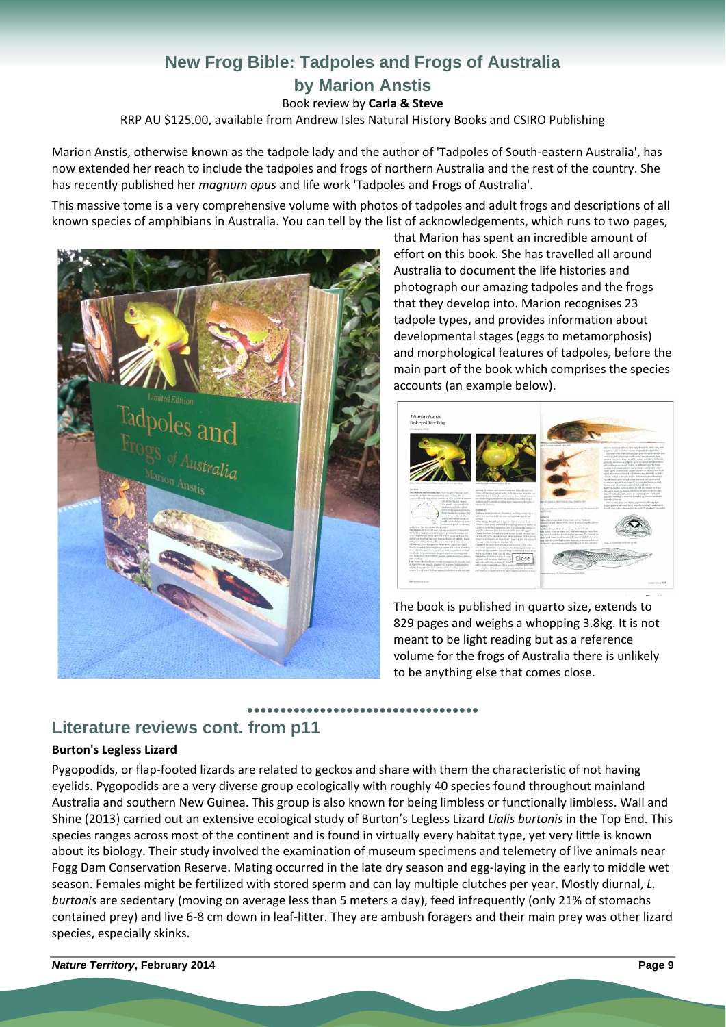# **New Frog Bible: Tadpoles and Frogs of Australia by Marion Anstis**  Book review by **Carla & Steve**

RRP AU \$125.00, available from Andrew Isles Natural History Books and CSIRO Publishing

Marion Anstis, otherwise known as the tadpole lady and the author of 'Tadpoles of South‐eastern Australia', has now extended her reach to include the tadpoles and frogs of northern Australia and the rest of the country. She has recently published her *magnum opus* and life work 'Tadpoles and Frogs of Australia'.

This massive tome is a very comprehensive volume with photos of tadpoles and adult frogs and descriptions of all known species of amphibians in Australia. You can tell by the list of acknowledgements, which runs to two pages,



that Marion has spent an incredible amount of effort on this book. She has travelled all around Australia to document the life histories and photograph our amazing tadpoles and the frogs that they develop into. Marion recognises 23 tadpole types, and provides information about developmental stages (eggs to metamorphosis) and morphological features of tadpoles, before the main part of the book which comprises the species accounts (an example below).



The book is published in quarto size, extends to 829 pages and weighs a whopping 3.8kg. It is not meant to be light reading but as a reference volume for the frogs of Australia there is unlikely to be anything else that comes close.

# **Literature reviews cont. from p11**

### **Burton's Legless Lizard**

Pygopodids, or flap‐footed lizards are related to geckos and share with them the characteristic of not having eyelids. Pygopodids are a very diverse group ecologically with roughly 40 species found throughout mainland Australia and southern New Guinea. This group is also known for being limbless or functionally limbless. Wall and Shine (2013) carried out an extensive ecological study of Burton's Legless Lizard *Lialis burtonis* in the Top End. This species ranges across most of the continent and is found in virtually every habitat type, yet very little is known about its biology. Their study involved the examination of museum specimens and telemetry of live animals near Fogg Dam Conservation Reserve. Mating occurred in the late dry season and egg-laying in the early to middle wet season. Females might be fertilized with stored sperm and can lay multiple clutches per year. Mostly diurnal, *L. burtonis* are sedentary (moving on average less than 5 meters a day), feed infrequently (only 21% of stomachs contained prey) and live 6‐8 cm down in leaf‐litter. They are ambush foragers and their main prey was other lizard species, especially skinks.

**●●●●●●●●●●●●●●●●●●●●●●●●●●●●●●●●●●●**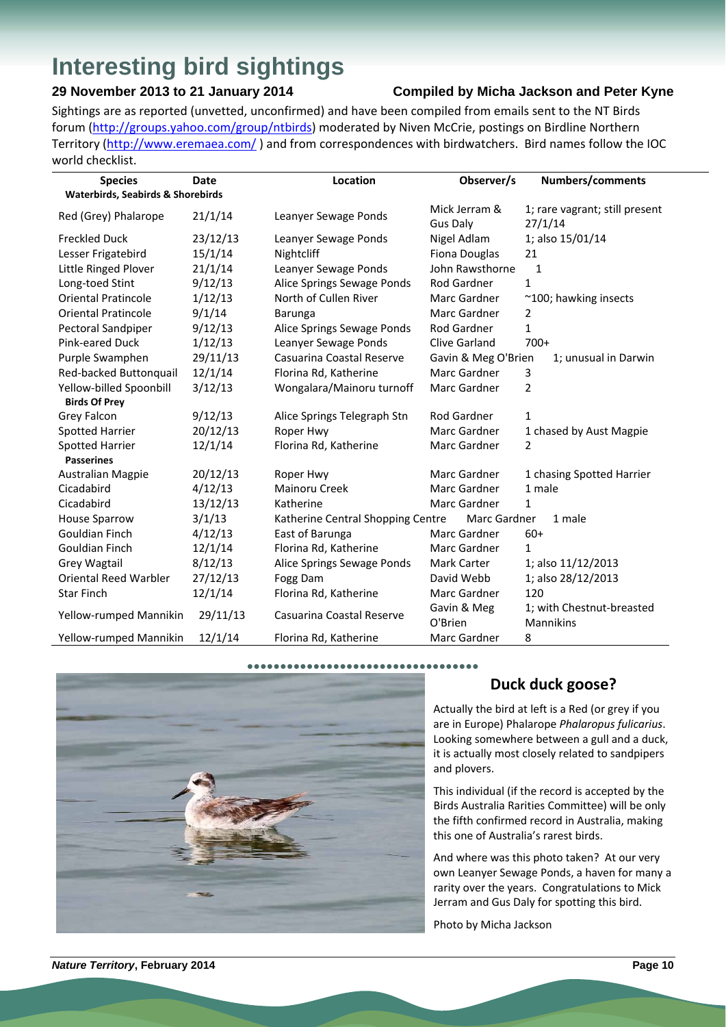# **Interesting bird sightings**

## **29 November 2013 to 21 January 2014 Compiled by Micha Jackson and Peter Kyne**

Sightings are as reported (unvetted, unconfirmed) and have been compiled from emails sent to the NT Birds forum (http://groups.yahoo.com/group/ntbirds) moderated by Niven McCrie, postings on Birdline Northern Territory (http://www.eremaea.com/ ) and from correspondences with birdwatchers. Bird names follow the IOC world checklist.

| <b>Species</b>                    | <b>Date</b> | Location                          | Observer/s                       | Numbers/comments                          |
|-----------------------------------|-------------|-----------------------------------|----------------------------------|-------------------------------------------|
| Waterbirds, Seabirds & Shorebirds |             |                                   |                                  |                                           |
| Red (Grey) Phalarope              | 21/1/14     | Leanyer Sewage Ponds              | Mick Jerram &<br><b>Gus Daly</b> | 1; rare vagrant; still present<br>27/1/14 |
| <b>Freckled Duck</b>              | 23/12/13    | Leanyer Sewage Ponds              | Nigel Adlam                      | 1; also 15/01/14                          |
| Lesser Frigatebird                | 15/1/14     | Nightcliff                        | Fiona Douglas                    | 21                                        |
| Little Ringed Plover              | 21/1/14     | Leanyer Sewage Ponds              | John Rawsthorne                  | 1                                         |
| Long-toed Stint                   | 9/12/13     | Alice Springs Sewage Ponds        | Rod Gardner                      | $\mathbf{1}$                              |
| <b>Oriental Pratincole</b>        | 1/12/13     | North of Cullen River             | Marc Gardner                     | ~100; hawking insects                     |
| <b>Oriental Pratincole</b>        | 9/1/14      | Barunga                           | Marc Gardner                     | 2                                         |
| Pectoral Sandpiper                | 9/12/13     | Alice Springs Sewage Ponds        | Rod Gardner                      | $\mathbf{1}$                              |
| Pink-eared Duck                   | 1/12/13     | Leanyer Sewage Ponds              | Clive Garland                    | $700+$                                    |
| Purple Swamphen                   | 29/11/13    | Casuarina Coastal Reserve         | Gavin & Meg O'Brien              | 1; unusual in Darwin                      |
| Red-backed Buttonquail            | 12/1/14     | Florina Rd, Katherine             | Marc Gardner                     | 3                                         |
| Yellow-billed Spoonbill           | 3/12/13     | Wongalara/Mainoru turnoff         | Marc Gardner                     | $\overline{2}$                            |
| <b>Birds Of Prey</b>              |             |                                   |                                  |                                           |
| Grey Falcon                       | 9/12/13     | Alice Springs Telegraph Stn       | Rod Gardner                      | $\mathbf{1}$                              |
| Spotted Harrier                   | 20/12/13    | Roper Hwy                         | Marc Gardner                     | 1 chased by Aust Magpie                   |
| <b>Spotted Harrier</b>            | 12/1/14     | Florina Rd, Katherine             | Marc Gardner                     | 2                                         |
| <b>Passerines</b>                 |             |                                   |                                  |                                           |
| <b>Australian Magpie</b>          | 20/12/13    | Roper Hwy                         | Marc Gardner                     | 1 chasing Spotted Harrier                 |
| Cicadabird                        | 4/12/13     | <b>Mainoru Creek</b>              | Marc Gardner                     | 1 male                                    |
| Cicadabird                        | 13/12/13    | Katherine                         | Marc Gardner                     | $\mathbf{1}$                              |
| <b>House Sparrow</b>              | 3/1/13      | Katherine Central Shopping Centre | Marc Gardner                     | 1 male                                    |
| Gouldian Finch                    | 4/12/13     | East of Barunga                   | Marc Gardner                     | $60+$                                     |
| Gouldian Finch                    | 12/1/14     | Florina Rd, Katherine             | Marc Gardner                     | $\mathbf{1}$                              |
| <b>Grey Wagtail</b>               | 8/12/13     | Alice Springs Sewage Ponds        | Mark Carter                      | 1; also 11/12/2013                        |
| <b>Oriental Reed Warbler</b>      | 27/12/13    | Fogg Dam                          | David Webb                       | 1; also 28/12/2013                        |
| <b>Star Finch</b>                 | 12/1/14     | Florina Rd, Katherine             | Marc Gardner                     | 120                                       |
| Yellow-rumped Mannikin            | 29/11/13    | Casuarina Coastal Reserve         | Gavin & Meg<br>O'Brien           | 1; with Chestnut-breasted<br>Mannikins    |
| Yellow-rumped Mannikin            | 12/1/14     | Florina Rd, Katherine             | Marc Gardner                     | 8                                         |



## **Duck duck goose?**

Actually the bird at left is a Red (or grey if you are in Europe) Phalarope *Phalaropus fulicarius*. Looking somewhere between a gull and a duck, it is actually most closely related to sandpipers and plovers.

This individual (if the record is accepted by the Birds Australia Rarities Committee) will be only the fifth confirmed record in Australia, making this one of Australia's rarest birds.

And where was this photo taken? At our very own Leanyer Sewage Ponds, a haven for many a rarity over the years. Congratulations to Mick Jerram and Gus Daly for spotting this bird.

Photo by Micha Jackson